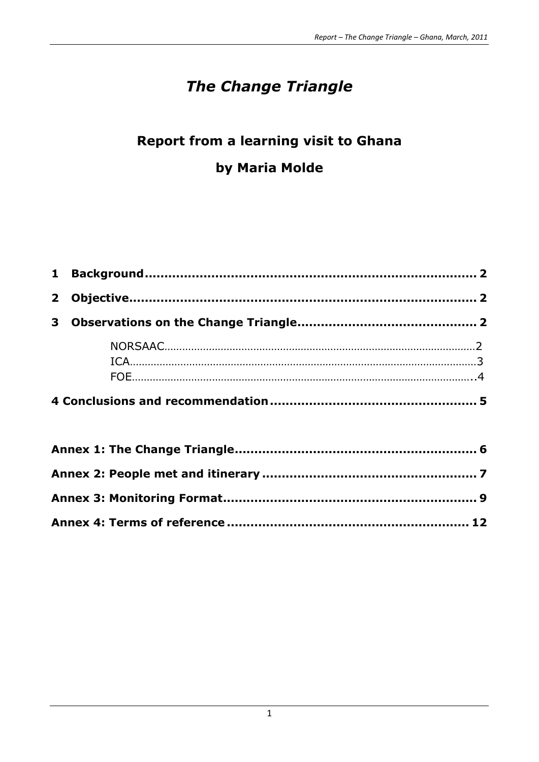# *The Change Triangle*

# **Report from a learning visit to Ghana by Maria Molde**

| $\mathbf{2}$ |  |
|--------------|--|
|              |  |
|              |  |
|              |  |
|              |  |
|              |  |
|              |  |
|              |  |
|              |  |
|              |  |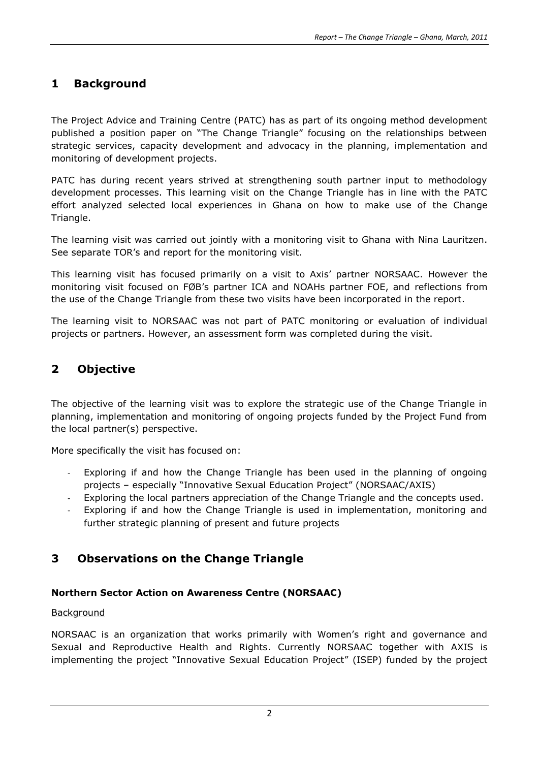# **1 Background**

The Project Advice and Training Centre (PATC) has as part of its ongoing method development published a position paper on "The Change Triangle" focusing on the relationships between strategic services, capacity development and advocacy in the planning, implementation and monitoring of development projects.

PATC has during recent years strived at strengthening south partner input to methodology development processes. This learning visit on the Change Triangle has in line with the PATC effort analyzed selected local experiences in Ghana on how to make use of the Change Triangle.

The learning visit was carried out jointly with a monitoring visit to Ghana with Nina Lauritzen. See separate TOR's and report for the monitoring visit.

This learning visit has focused primarily on a visit to Axis' partner NORSAAC. However the monitoring visit focused on FØB's partner ICA and NOAHs partner FOE, and reflections from the use of the Change Triangle from these two visits have been incorporated in the report.

The learning visit to NORSAAC was not part of PATC monitoring or evaluation of individual projects or partners. However, an assessment form was completed during the visit.

# **2 Objective**

The objective of the learning visit was to explore the strategic use of the Change Triangle in planning, implementation and monitoring of ongoing projects funded by the Project Fund from the local partner(s) perspective.

More specifically the visit has focused on:

- Exploring if and how the Change Triangle has been used in the planning of ongoing projects – especially "Innovative Sexual Education Project" (NORSAAC/AXIS)
- Exploring the local partners appreciation of the Change Triangle and the concepts used.
- Exploring if and how the Change Triangle is used in implementation, monitoring and further strategic planning of present and future projects

# **3 Observations on the Change Triangle**

#### **Northern Sector Action on Awareness Centre (NORSAAC)**

#### Background

NORSAAC is an organization that works primarily with Women's right and governance and Sexual and Reproductive Health and Rights. Currently NORSAAC together with AXIS is implementing the project "Innovative Sexual Education Project" (ISEP) funded by the project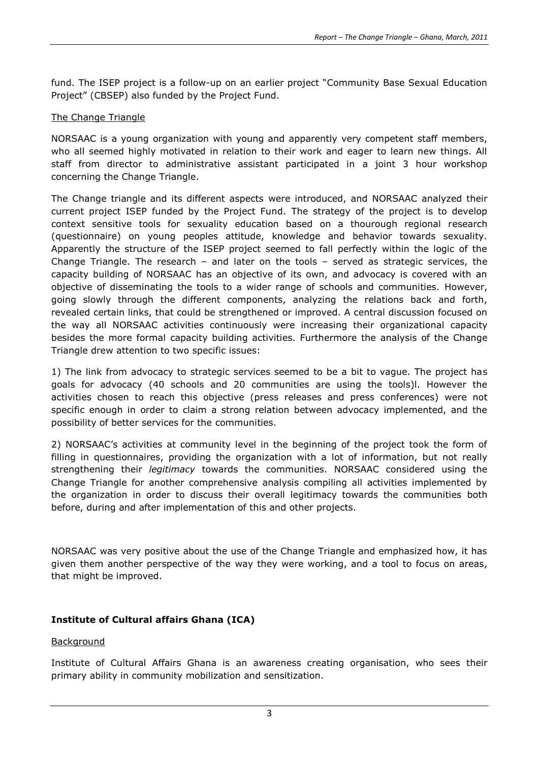fund. The ISEP project is a follow-up on an earlier project "Community Base Sexual Education Project" (CBSEP) also funded by the Project Fund.

#### The Change Triangle

NORSAAC is a young organization with young and apparently very competent staff members, who all seemed highly motivated in relation to their work and eager to learn new things. All staff from director to administrative assistant participated in a joint 3 hour workshop concerning the Change Triangle.

The Change triangle and its different aspects were introduced, and NORSAAC analyzed their current project ISEP funded by the Project Fund. The strategy of the project is to develop context sensitive tools for sexuality education based on a thourough regional research (questionnaire) on young peoples attitude, knowledge and behavior towards sexuality. Apparently the structure of the ISEP project seemed to fall perfectly within the logic of the Change Triangle. The research – and later on the tools – served as strategic services, the capacity building of NORSAAC has an objective of its own, and advocacy is covered with an objective of disseminating the tools to a wider range of schools and communities. However, going slowly through the different components, analyzing the relations back and forth, revealed certain links, that could be strengthened or improved. A central discussion focused on the way all NORSAAC activities continuously were increasing their organizational capacity besides the more formal capacity building activities. Furthermore the analysis of the Change Triangle drew attention to two specific issues:

1) The link from advocacy to strategic services seemed to be a bit to vague. The project has goals for advocacy (40 schools and 20 communities are using the tools)l. However the activities chosen to reach this objective (press releases and press conferences) were not specific enough in order to claim a strong relation between advocacy implemented, and the possibility of better services for the communities.

2) NORSAAC's activities at community level in the beginning of the project took the form of filling in questionnaires, providing the organization with a lot of information, but not really strengthening their *legitimacy* towards the communities. NORSAAC considered using the Change Triangle for another comprehensive analysis compiling all activities implemented by the organization in order to discuss their overall legitimacy towards the communities both before, during and after implementation of this and other projects.

NORSAAC was very positive about the use of the Change Triangle and emphasized how, it has given them another perspective of the way they were working, and a tool to focus on areas, that might be improved.

## **Institute of Cultural affairs Ghana (ICA)**

## Background

Institute of Cultural Affairs Ghana is an awareness creating organisation, who sees their primary ability in community mobilization and sensitization.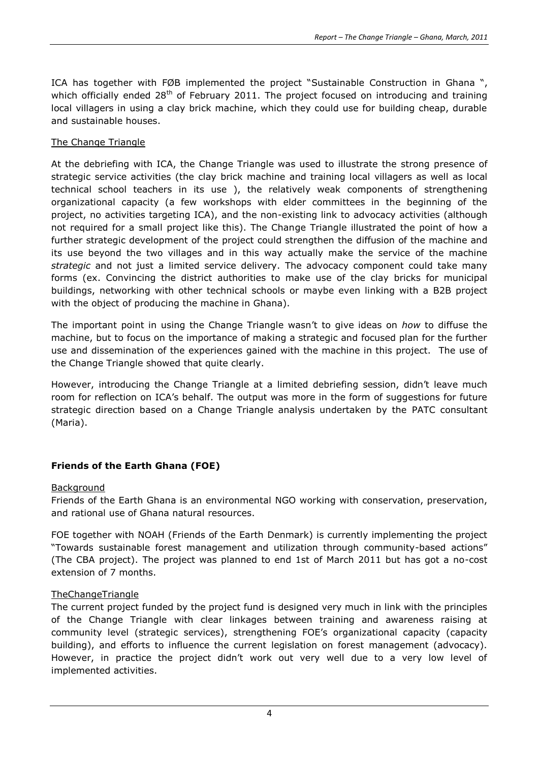ICA has together with FØB implemented the project "Sustainable Construction in Ghana ", which officially ended 28<sup>th</sup> of February 2011. The project focused on introducing and training local villagers in using a clay brick machine, which they could use for building cheap, durable and sustainable houses.

#### The Change Triangle

At the debriefing with ICA, the Change Triangle was used to illustrate the strong presence of strategic service activities (the clay brick machine and training local villagers as well as local technical school teachers in its use ), the relatively weak components of strengthening organizational capacity (a few workshops with elder committees in the beginning of the project, no activities targeting ICA), and the non-existing link to advocacy activities (although not required for a small project like this). The Change Triangle illustrated the point of how a further strategic development of the project could strengthen the diffusion of the machine and its use beyond the two villages and in this way actually make the service of the machine *strategic* and not just a limited service delivery. The advocacy component could take many forms (ex. Convincing the district authorities to make use of the clay bricks for municipal buildings, networking with other technical schools or maybe even linking with a B2B project with the object of producing the machine in Ghana).

The important point in using the Change Triangle wasn't to give ideas on *how* to diffuse the machine, but to focus on the importance of making a strategic and focused plan for the further use and dissemination of the experiences gained with the machine in this project. The use of the Change Triangle showed that quite clearly.

However, introducing the Change Triangle at a limited debriefing session, didn't leave much room for reflection on ICA's behalf. The output was more in the form of suggestions for future strategic direction based on a Change Triangle analysis undertaken by the PATC consultant (Maria).

## **Friends of the Earth Ghana (FOE)**

#### Background

Friends of the Earth Ghana is an environmental NGO working with conservation, preservation, and rational use of Ghana natural resources.

FOE together with NOAH (Friends of the Earth Denmark) is currently implementing the project "Towards sustainable forest management and utilization through community-based actions" (The CBA project). The project was planned to end 1st of March 2011 but has got a no-cost extension of 7 months.

#### **TheChangeTriangle**

The current project funded by the project fund is designed very much in link with the principles of the Change Triangle with clear linkages between training and awareness raising at community level (strategic services), strengthening FOE's organizational capacity (capacity building), and efforts to influence the current legislation on forest management (advocacy). However, in practice the project didn't work out very well due to a very low level of implemented activities.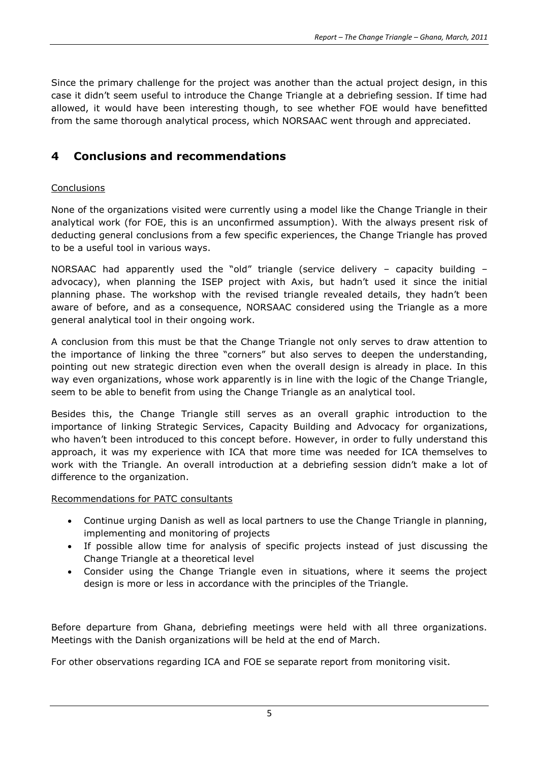Since the primary challenge for the project was another than the actual project design, in this case it didn't seem useful to introduce the Change Triangle at a debriefing session. If time had allowed, it would have been interesting though, to see whether FOE would have benefitted from the same thorough analytical process, which NORSAAC went through and appreciated.

# **4 Conclusions and recommendations**

## **Conclusions**

None of the organizations visited were currently using a model like the Change Triangle in their analytical work (for FOE, this is an unconfirmed assumption). With the always present risk of deducting general conclusions from a few specific experiences, the Change Triangle has proved to be a useful tool in various ways.

NORSAAC had apparently used the "old" triangle (service delivery – capacity building – advocacy), when planning the ISEP project with Axis, but hadn't used it since the initial planning phase. The workshop with the revised triangle revealed details, they hadn't been aware of before, and as a consequence, NORSAAC considered using the Triangle as a more general analytical tool in their ongoing work.

A conclusion from this must be that the Change Triangle not only serves to draw attention to the importance of linking the three "corners" but also serves to deepen the understanding, pointing out new strategic direction even when the overall design is already in place. In this way even organizations, whose work apparently is in line with the logic of the Change Triangle, seem to be able to benefit from using the Change Triangle as an analytical tool.

Besides this, the Change Triangle still serves as an overall graphic introduction to the importance of linking Strategic Services, Capacity Building and Advocacy for organizations, who haven't been introduced to this concept before. However, in order to fully understand this approach, it was my experience with ICA that more time was needed for ICA themselves to work with the Triangle. An overall introduction at a debriefing session didn't make a lot of difference to the organization.

## Recommendations for PATC consultants

- Continue urging Danish as well as local partners to use the Change Triangle in planning, implementing and monitoring of projects
- If possible allow time for analysis of specific projects instead of just discussing the Change Triangle at a theoretical level
- Consider using the Change Triangle even in situations, where it seems the project design is more or less in accordance with the principles of the Triangle.

Before departure from Ghana, debriefing meetings were held with all three organizations. Meetings with the Danish organizations will be held at the end of March.

For other observations regarding ICA and FOE se separate report from monitoring visit.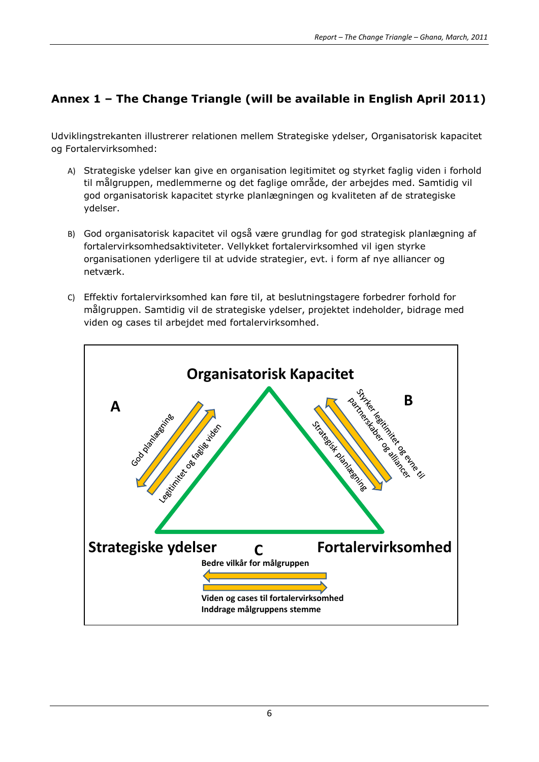# **Annex 1 – The Change Triangle (will be available in English April 2011)**

Udviklingstrekanten illustrerer relationen mellem Strategiske ydelser, Organisatorisk kapacitet og Fortalervirksomhed:

- A) Strategiske ydelser kan give en organisation legitimitet og styrket faglig viden i forhold til målgruppen, medlemmerne og det faglige område, der arbejdes med. Samtidig vil god organisatorisk kapacitet styrke planlægningen og kvaliteten af de strategiske ydelser.
- B) God organisatorisk kapacitet vil også være grundlag for god strategisk planlægning af fortalervirksomhedsaktiviteter. Vellykket fortalervirksomhed vil igen styrke organisationen yderligere til at udvide strategier, evt. i form af nye alliancer og netværk.
- C) Effektiv fortalervirksomhed kan føre til, at beslutningstagere forbedrer forhold for målgruppen. Samtidig vil de strategiske ydelser, projektet indeholder, bidrage med viden og cases til arbejdet med fortalervirksomhed.

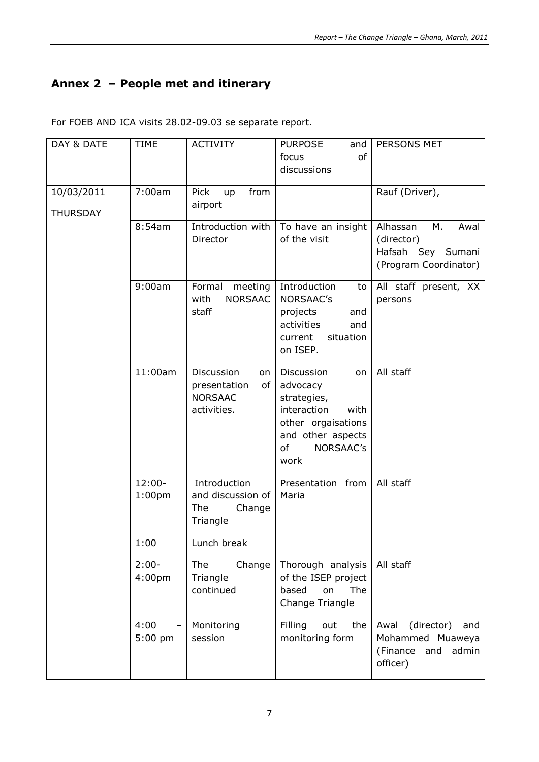# **Annex 2 – People met and itinerary**

| For FOEB AND ICA visits 28.02-09.03 se separate report. |  |  |  |  |  |  |  |  |  |  |
|---------------------------------------------------------|--|--|--|--|--|--|--|--|--|--|
|---------------------------------------------------------|--|--|--|--|--|--|--|--|--|--|

| DAY & DATE      | <b>TIME</b>                                   | <b>ACTIVITY</b>                                                         | <b>PURPOSE</b><br>and                                                                                                                    | PERSONS MET                                                                        |
|-----------------|-----------------------------------------------|-------------------------------------------------------------------------|------------------------------------------------------------------------------------------------------------------------------------------|------------------------------------------------------------------------------------|
|                 |                                               |                                                                         | of<br>focus                                                                                                                              |                                                                                    |
|                 |                                               |                                                                         | discussions                                                                                                                              |                                                                                    |
|                 |                                               |                                                                         |                                                                                                                                          |                                                                                    |
| 10/03/2011      | 7:00am                                        | Pick<br>from<br>up<br>airport                                           |                                                                                                                                          | Rauf (Driver),                                                                     |
| <b>THURSDAY</b> |                                               |                                                                         |                                                                                                                                          |                                                                                    |
|                 | 8:54am                                        | Introduction with<br>Director                                           | To have an insight<br>of the visit                                                                                                       | Alhassan<br>М.<br>Awal<br>(director)<br>Hafsah Sey Sumani<br>(Program Coordinator) |
|                 | 9:00am                                        | Formal<br>meeting<br><b>NORSAAC</b><br>with<br>staff                    | Introduction<br>to<br>NORSAAC's<br>projects<br>and<br>activities<br>and<br>situation<br>current<br>on ISEP.                              | All staff present, XX<br>persons                                                   |
|                 | 11:00am                                       | Discussion<br>on<br>presentation<br>of<br><b>NORSAAC</b><br>activities. | Discussion<br>on<br>advocacy<br>strategies,<br>interaction<br>with<br>other orgaisations<br>and other aspects<br>of<br>NORSAAC's<br>work | All staff                                                                          |
|                 | $12:00 -$<br>1:00 <sub>pm</sub>               | Introduction<br>and discussion of<br>The<br>Change<br>Triangle          | Presentation from<br>Maria                                                                                                               | All staff                                                                          |
|                 | 1:00                                          | Lunch break                                                             |                                                                                                                                          |                                                                                    |
|                 | $2:00-$<br>4:00 <sub>pm</sub>                 | Change<br>The<br>Triangle<br>continued                                  | Thorough analysis<br>of the ISEP project<br>based<br>on<br>The<br>Change Triangle                                                        | All staff                                                                          |
|                 | 4:00<br>$\overline{\phantom{0}}$<br>$5:00$ pm | Monitoring<br>session                                                   | Filling<br>out<br>the<br>monitoring form                                                                                                 | (director)<br>Awal<br>and<br>Mohammed Muaweya<br>(Finance and<br>admin<br>officer) |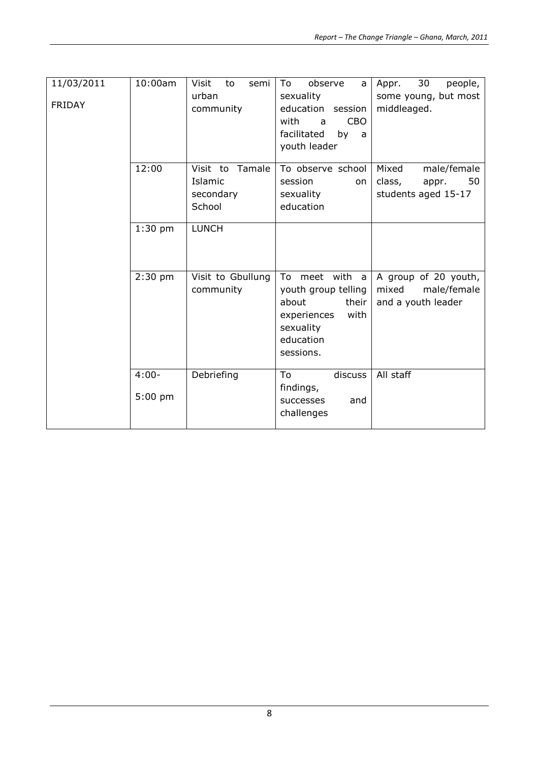| 11/03/2011<br><b>FRIDAY</b> | 10:00am               | Visit<br>to<br>semi<br>urban<br>community            | To<br>observe<br>a<br>sexuality<br>education session<br><b>CBO</b><br>with<br>a<br>facilitated<br>by<br>a<br>youth leader | 30<br>people,<br>Appr.<br>some young, but most<br>middleaged.        |
|-----------------------------|-----------------------|------------------------------------------------------|---------------------------------------------------------------------------------------------------------------------------|----------------------------------------------------------------------|
|                             | 12:00                 | Visit to<br>Tamale<br>Islamic<br>secondary<br>School | To observe school<br>session<br>on<br>sexuality<br>education                                                              | Mixed<br>male/female<br>class,<br>50<br>appr.<br>students aged 15-17 |
|                             | $1:30$ pm             | <b>LUNCH</b>                                         |                                                                                                                           |                                                                      |
|                             | $2:30$ pm             | Visit to Gbullung<br>community                       | To meet with a<br>youth group telling<br>about<br>their<br>experiences<br>with<br>sexuality<br>education<br>sessions.     | A group of 20 youth,<br>mixed<br>male/female<br>and a youth leader   |
|                             | $4:00 -$<br>$5:00$ pm | Debriefing                                           | To<br>discuss<br>findings,<br>successes<br>and<br>challenges                                                              | All staff                                                            |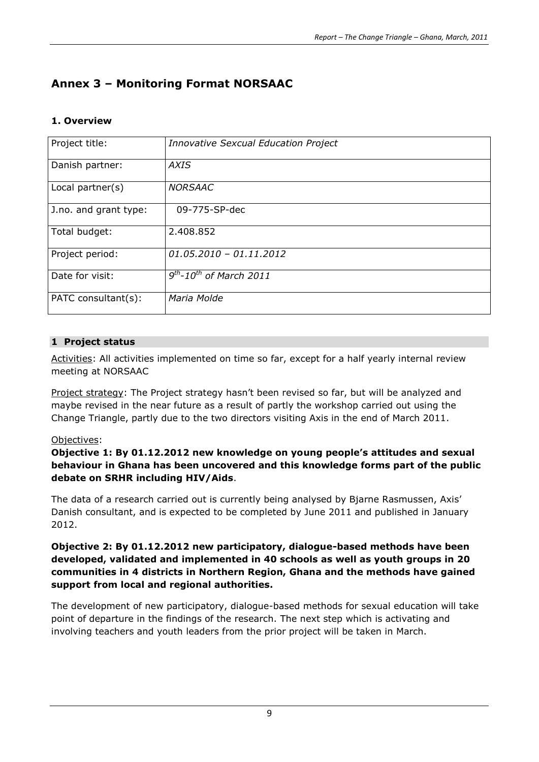# **Annex 3 – Monitoring Format NORSAAC**

## **1. Overview**

| Project title:        | <b>Innovative Sexcual Education Project</b>         |
|-----------------------|-----------------------------------------------------|
| Danish partner:       | AXIS                                                |
| Local partner(s)      | <b>NORSAAC</b>                                      |
| J.no. and grant type: | 09-775-SP-dec                                       |
| Total budget:         | 2.408.852                                           |
| Project period:       | $01.05.2010 - 01.11.2012$                           |
| Date for visit:       | $\overline{9^{th}}$ -10 <sup>th</sup> of March 2011 |
| PATC consultant(s):   | Maria Molde                                         |

## **1 Project status**

Activities: All activities implemented on time so far, except for a half yearly internal review meeting at NORSAAC

Project strategy: The Project strategy hasn't been revised so far, but will be analyzed and maybe revised in the near future as a result of partly the workshop carried out using the Change Triangle, partly due to the two directors visiting Axis in the end of March 2011.

## Objectives:

**Objective 1: By 01.12.2012 new knowledge on young people's attitudes and sexual behaviour in Ghana has been uncovered and this knowledge forms part of the public debate on SRHR including HIV/Aids**.

The data of a research carried out is currently being analysed by Bjarne Rasmussen, Axis' Danish consultant, and is expected to be completed by June 2011 and published in January 2012.

#### **Objective 2: By 01.12.2012 new participatory, dialogue-based methods have been developed, validated and implemented in 40 schools as well as youth groups in 20 communities in 4 districts in Northern Region, Ghana and the methods have gained support from local and regional authorities.**

The development of new participatory, dialogue-based methods for sexual education will take point of departure in the findings of the research. The next step which is activating and involving teachers and youth leaders from the prior project will be taken in March.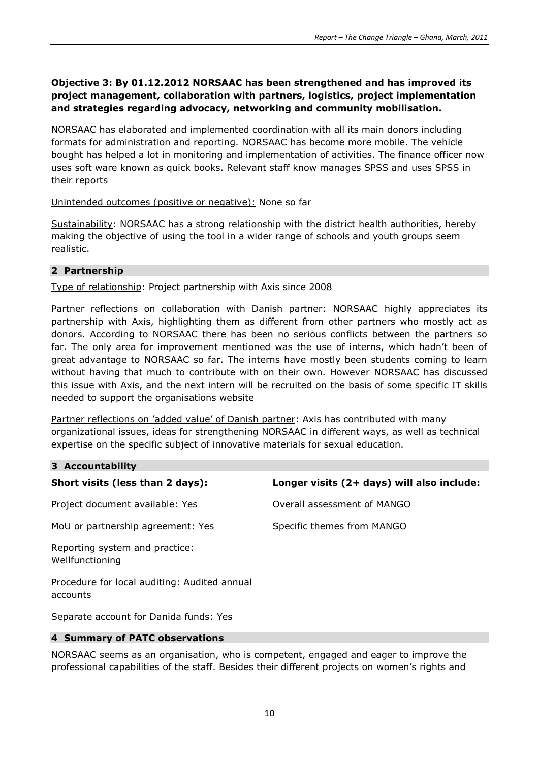#### **Objective 3: By 01.12.2012 NORSAAC has been strengthened and has improved its project management, collaboration with partners, logistics, project implementation and strategies regarding advocacy, networking and community mobilisation.**

NORSAAC has elaborated and implemented coordination with all its main donors including formats for administration and reporting. NORSAAC has become more mobile. The vehicle bought has helped a lot in monitoring and implementation of activities. The finance officer now uses soft ware known as quick books. Relevant staff know manages SPSS and uses SPSS in their reports

#### Unintended outcomes (positive or negative): None so far

Sustainability: NORSAAC has a strong relationship with the district health authorities, hereby making the objective of using the tool in a wider range of schools and youth groups seem realistic.

## **2 Partnership**

Type of relationship: Project partnership with Axis since 2008

Partner reflections on collaboration with Danish partner: NORSAAC highly appreciates its partnership with Axis, highlighting them as different from other partners who mostly act as donors. According to NORSAAC there has been no serious conflicts between the partners so far. The only area for improvement mentioned was the use of interns, which hadn't been of great advantage to NORSAAC so far. The interns have mostly been students coming to learn without having that much to contribute with on their own. However NORSAAC has discussed this issue with Axis, and the next intern will be recruited on the basis of some specific IT skills needed to support the organisations website

Partner reflections on 'added value' of Danish partner: Axis has contributed with many organizational issues, ideas for strengthening NORSAAC in different ways, as well as technical expertise on the specific subject of innovative materials for sexual education.

## **3 Accountability**

| Short visits (less than 2 days):                         | Longer visits (2+ days) will also include: |
|----------------------------------------------------------|--------------------------------------------|
| Project document available: Yes                          | Overall assessment of MANGO                |
| MoU or partnership agreement: Yes                        | Specific themes from MANGO                 |
| Reporting system and practice:<br>Wellfunctioning        |                                            |
| Procedure for local auditing: Audited annual<br>accounts |                                            |
| Separate account for Danida funds: Yes                   |                                            |
|                                                          |                                            |

## **4 Summary of PATC observations**

NORSAAC seems as an organisation, who is competent, engaged and eager to improve the professional capabilities of the staff. Besides their different projects on women's rights and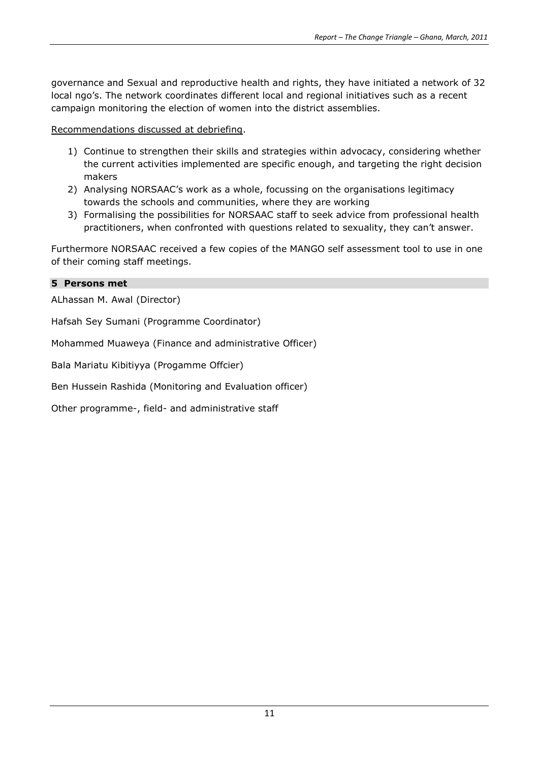governance and Sexual and reproductive health and rights, they have initiated a network of 32 local ngo's. The network coordinates different local and regional initiatives such as a recent campaign monitoring the election of women into the district assemblies.

Recommendations discussed at debriefing.

- 1) Continue to strengthen their skills and strategies within advocacy, considering whether the current activities implemented are specific enough, and targeting the right decision makers
- 2) Analysing NORSAAC's work as a whole, focussing on the organisations legitimacy towards the schools and communities, where they are working
- 3) Formalising the possibilities for NORSAAC staff to seek advice from professional health practitioners, when confronted with questions related to sexuality, they can't answer.

Furthermore NORSAAC received a few copies of the MANGO self assessment tool to use in one of their coming staff meetings.

#### **5 Persons met**

ALhassan M. Awal (Director)

Hafsah Sey Sumani (Programme Coordinator)

Mohammed Muaweya (Finance and administrative Officer)

Bala Mariatu Kibitiyya (Progamme Offcier)

Ben Hussein Rashida (Monitoring and Evaluation officer)

Other programme-, field- and administrative staff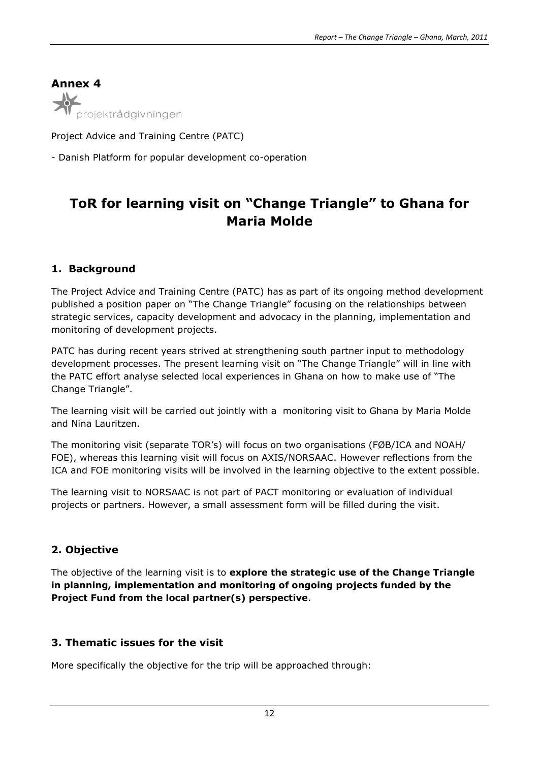**Annex 4** ojektrådgivningen

Project Advice and Training Centre (PATC)

- Danish Platform for popular development co-operation

# **ToR for learning visit on "Change Triangle" to Ghana for Maria Molde**

# **1. Background**

The Project Advice and Training Centre (PATC) has as part of its ongoing method development published a position paper on "The Change Triangle" focusing on the relationships between strategic services, capacity development and advocacy in the planning, implementation and monitoring of development projects.

PATC has during recent years strived at strengthening south partner input to methodology development processes. The present learning visit on "The Change Triangle" will in line with the PATC effort analyse selected local experiences in Ghana on how to make use of "The Change Triangle".

The learning visit will be carried out jointly with a monitoring visit to Ghana by Maria Molde and Nina Lauritzen.

The monitoring visit (separate TOR's) will focus on two organisations (FØB/ICA and NOAH/ FOE), whereas this learning visit will focus on AXIS/NORSAAC. However reflections from the ICA and FOE monitoring visits will be involved in the learning objective to the extent possible.

The learning visit to NORSAAC is not part of PACT monitoring or evaluation of individual projects or partners. However, a small assessment form will be filled during the visit.

# **2. Objective**

The objective of the learning visit is to **explore the strategic use of the Change Triangle in planning, implementation and monitoring of ongoing projects funded by the Project Fund from the local partner(s) perspective**.

# **3. Thematic issues for the visit**

More specifically the objective for the trip will be approached through: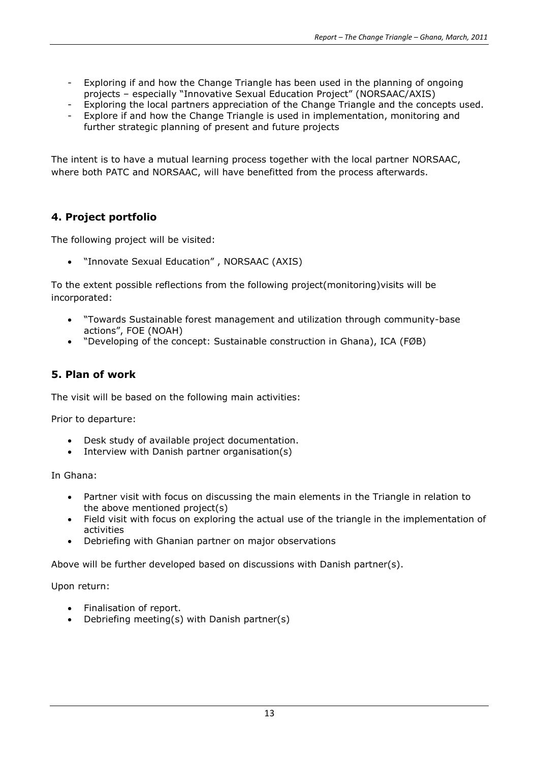- Exploring if and how the Change Triangle has been used in the planning of ongoing projects – especially "Innovative Sexual Education Project" (NORSAAC/AXIS)
- Exploring the local partners appreciation of the Change Triangle and the concepts used.
- Explore if and how the Change Triangle is used in implementation, monitoring and further strategic planning of present and future projects

The intent is to have a mutual learning process together with the local partner NORSAAC, where both PATC and NORSAAC, will have benefitted from the process afterwards.

## **4. Project portfolio**

The following project will be visited:

"Innovate Sexual Education" , NORSAAC (AXIS)

To the extent possible reflections from the following project(monitoring)visits will be incorporated:

- "Towards Sustainable forest management and utilization through community-base actions", FOE (NOAH)
- "Developing of the concept: Sustainable construction in Ghana), ICA (FØB)

#### **5. Plan of work**

The visit will be based on the following main activities:

Prior to departure:

- Desk study of available project documentation.
- Interview with Danish partner organisation(s)

In Ghana:

- Partner visit with focus on discussing the main elements in the Triangle in relation to the above mentioned project(s)
- Field visit with focus on exploring the actual use of the triangle in the implementation of activities
- Debriefing with Ghanian partner on major observations

Above will be further developed based on discussions with Danish partner(s).

Upon return:

- Finalisation of report.
- Debriefing meeting(s) with Danish partner(s)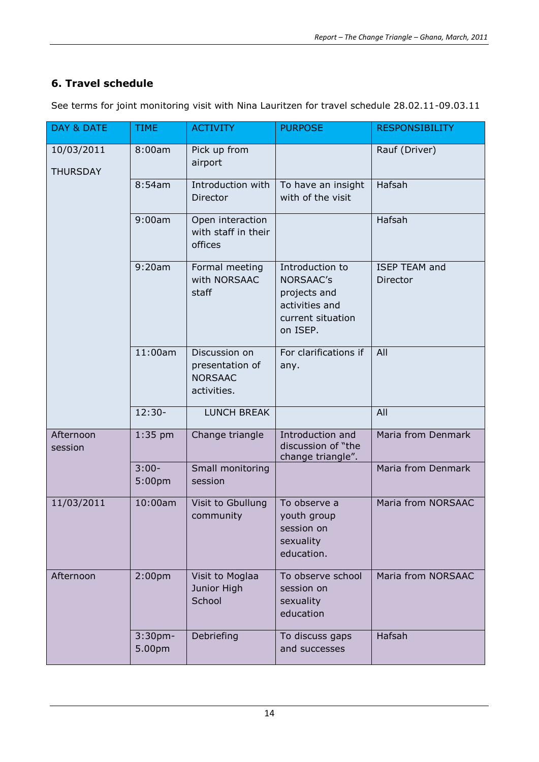# **6. Travel schedule**

| DAY & DATE                    | <b>TIME</b>                   | <b>ACTIVITY</b>                                                   | <b>PURPOSE</b>                                                                                         | <b>RESPONSIBILITY</b>            |
|-------------------------------|-------------------------------|-------------------------------------------------------------------|--------------------------------------------------------------------------------------------------------|----------------------------------|
| 10/03/2011<br><b>THURSDAY</b> | 8:00am                        | Pick up from<br>airport                                           |                                                                                                        | Rauf (Driver)                    |
|                               | 8:54am                        | Introduction with<br>Director                                     | To have an insight<br>with of the visit                                                                | Hafsah                           |
|                               | 9:00am                        | Open interaction<br>with staff in their<br>offices                |                                                                                                        | Hafsah                           |
|                               | 9:20am                        | Formal meeting<br>with NORSAAC<br>staff                           | Introduction to<br><b>NORSAAC's</b><br>projects and<br>activities and<br>current situation<br>on ISEP. | <b>ISEP TEAM and</b><br>Director |
|                               | 11:00am                       | Discussion on<br>presentation of<br><b>NORSAAC</b><br>activities. | For clarifications if<br>any.                                                                          | All                              |
|                               | $12:30-$                      | LUNCH BREAK                                                       |                                                                                                        | All                              |
| Afternoon<br>session          | $1:35$ pm                     | Change triangle                                                   | Introduction and<br>discussion of "the<br>change triangle".                                            | Maria from Denmark               |
|                               | $3:00-$<br>5:00 <sub>pm</sub> | Small monitoring<br>session                                       |                                                                                                        | Maria from Denmark               |
| 11/03/2011                    | 10:00am                       | Visit to Gbullung<br>community                                    | To observe a<br>youth group<br>session on<br>sexuality<br>education.                                   | Maria from NORSAAC               |
| Afternoon                     | 2:00 <sub>pm</sub>            | Visit to Moglaa<br>Junior High<br>School                          | To observe school<br>session on<br>sexuality<br>education                                              | Maria from NORSAAC               |
|                               | $3:30$ pm-<br>5.00pm          | Debriefing                                                        | To discuss gaps<br>and successes                                                                       | Hafsah                           |

See terms for joint monitoring visit with Nina Lauritzen for travel schedule 28.02.11-09.03.11